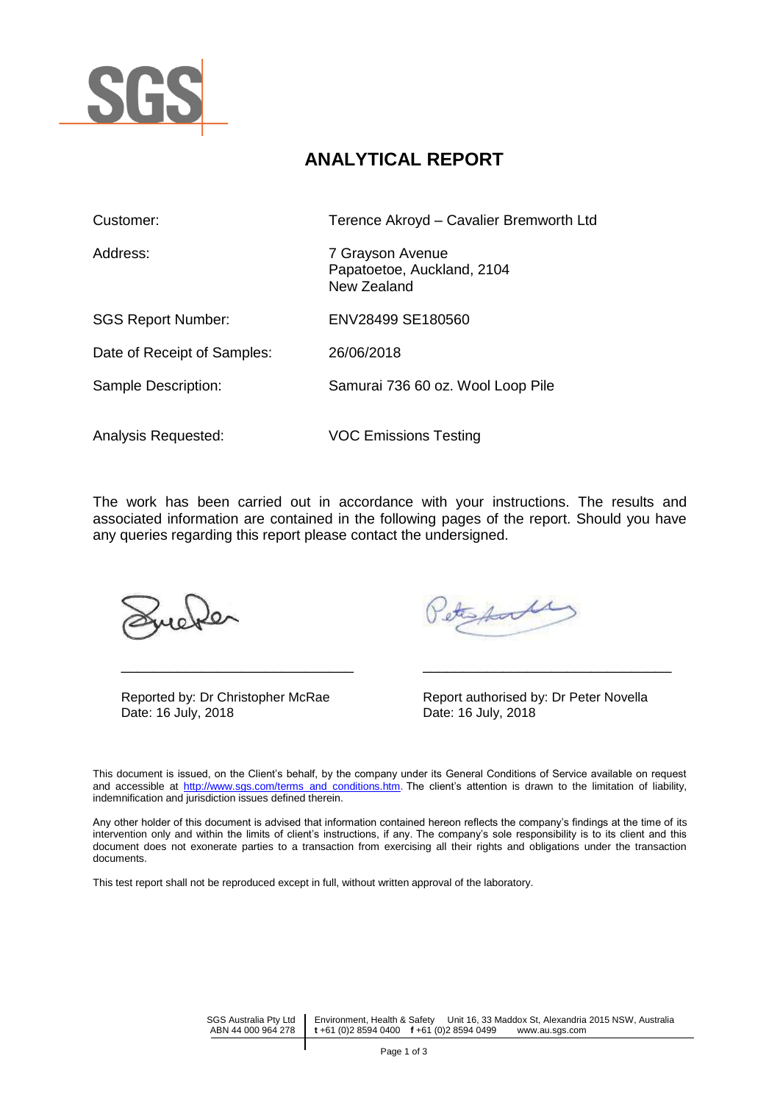

# **ANALYTICAL REPORT**

| Customer:                   | Terence Akroyd - Cavalier Bremworth Ltd                       |  |
|-----------------------------|---------------------------------------------------------------|--|
| Address:                    | 7 Grayson Avenue<br>Papatoetoe, Auckland, 2104<br>New Zealand |  |
| <b>SGS Report Number:</b>   | ENV28499 SE180560                                             |  |
| Date of Receipt of Samples: | 26/06/2018                                                    |  |
| Sample Description:         | Samurai 736 60 oz. Wool Loop Pile                             |  |
| Analysis Requested:         | <b>VOC Emissions Testing</b>                                  |  |

The work has been carried out in accordance with your instructions. The results and associated information are contained in the following pages of the report. Should you have any queries regarding this report please contact the undersigned.

| Reported by: Dr Christopher McRae | Report authorised b |
|-----------------------------------|---------------------|
| Date: 16 July, 2018               | Date: 16 July, 2018 |

Stephale

Reported by: Dr Christopher McRae Report authorised by: Dr Peter Novella

This document is issued, on the Client's behalf, by the company under its General Conditions of Service available on request and accessible at [http://www.sgs.com/terms\\_and\\_conditions.htm.](http://www.sgs.com/terms_and_conditions.htm) The client's attention is drawn to the limitation of liability, indemnification and jurisdiction issues defined therein.

\_\_\_\_\_\_\_\_\_\_\_\_\_\_\_\_\_\_\_\_\_\_\_\_\_\_\_\_\_ \_\_\_\_\_\_\_\_\_\_\_\_\_\_\_\_\_\_\_\_\_\_\_\_\_\_\_\_\_\_\_

Any other holder of this document is advised that information contained hereon reflects the company's findings at the time of its intervention only and within the limits of client's instructions, if any. The company's sole responsibility is to its client and this document does not exonerate parties to a transaction from exercising all their rights and obligations under the transaction documents.

This test report shall not be reproduced except in full, without written approval of the laboratory.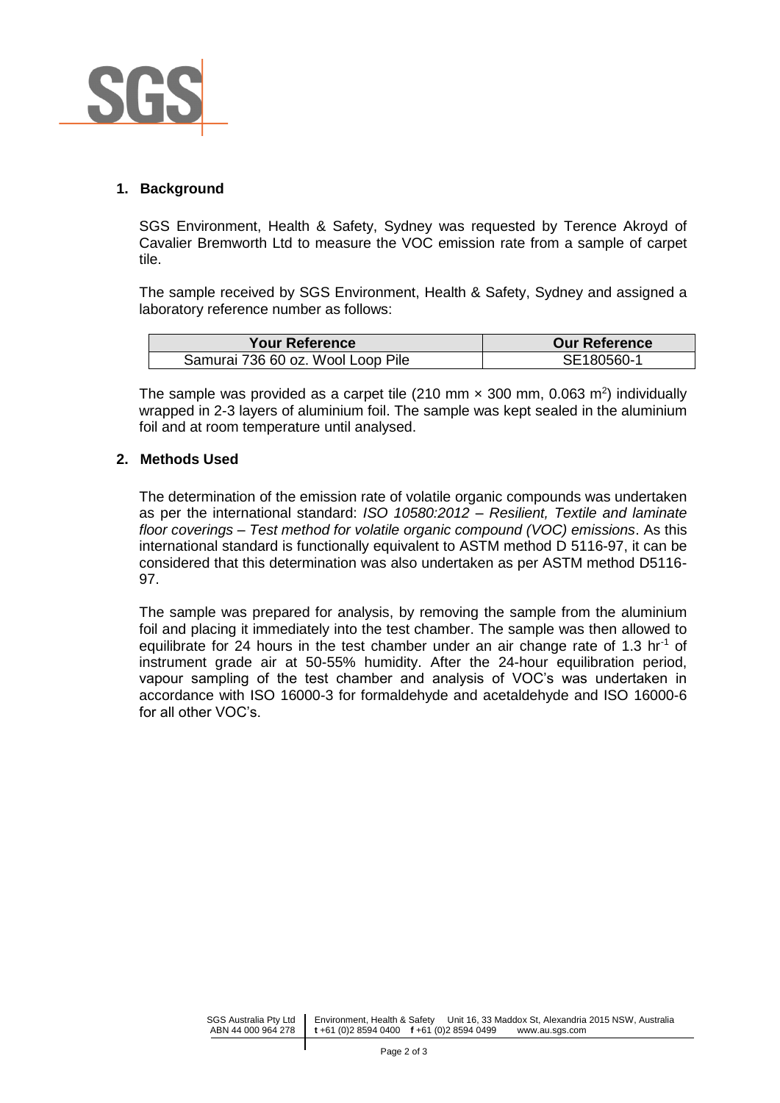

#### **1. Background**

SGS Environment, Health & Safety, Sydney was requested by Terence Akroyd of Cavalier Bremworth Ltd to measure the VOC emission rate from a sample of carpet tile.

The sample received by SGS Environment, Health & Safety, Sydney and assigned a laboratory reference number as follows:

| <b>Your Reference</b>             | <b>Our Reference</b> |
|-----------------------------------|----------------------|
| Samurai 736 60 oz. Wool Loop Pile | SE180560-1           |

The sample was provided as a carpet tile (210 mm  $\times$  300 mm, 0.063 m<sup>2</sup>) individually wrapped in 2-3 layers of aluminium foil. The sample was kept sealed in the aluminium foil and at room temperature until analysed.

#### **2. Methods Used**

The determination of the emission rate of volatile organic compounds was undertaken as per the international standard: *ISO 10580:2012 – Resilient, Textile and laminate floor coverings – Test method for volatile organic compound (VOC) emissions*. As this international standard is functionally equivalent to ASTM method D 5116-97, it can be considered that this determination was also undertaken as per ASTM method D5116- 97.

The sample was prepared for analysis, by removing the sample from the aluminium foil and placing it immediately into the test chamber. The sample was then allowed to equilibrate for 24 hours in the test chamber under an air change rate of 1.3 hr<sup>-1</sup> of instrument grade air at 50-55% humidity. After the 24-hour equilibration period, vapour sampling of the test chamber and analysis of VOC's was undertaken in accordance with ISO 16000-3 for formaldehyde and acetaldehyde and ISO 16000-6 for all other VOC's.